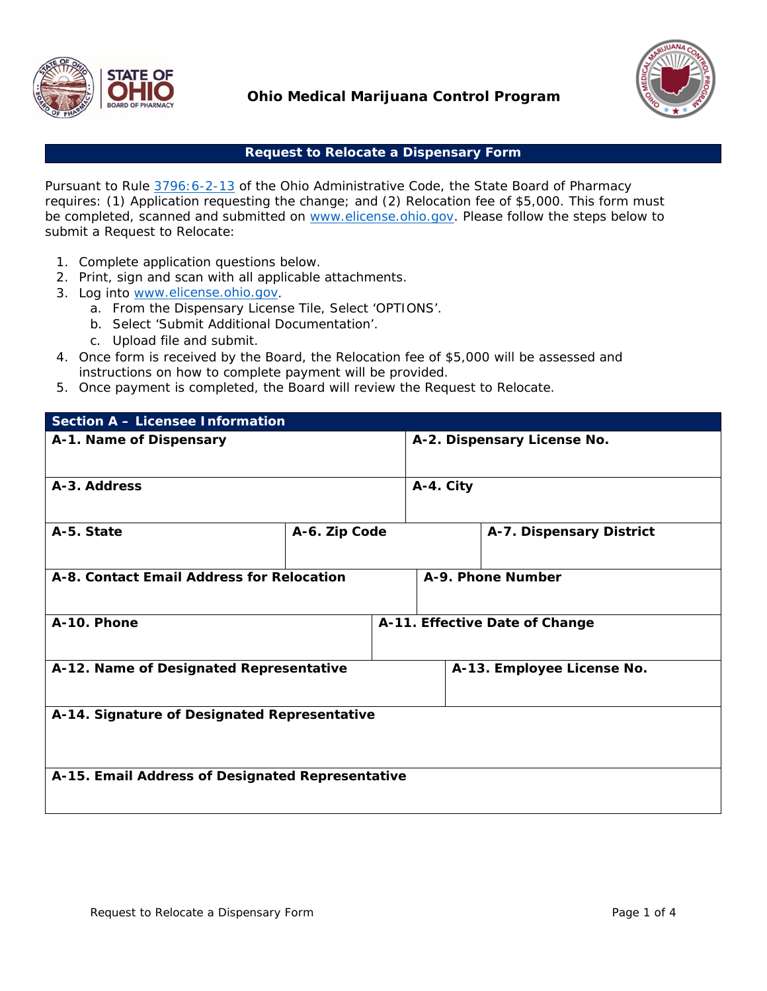

# **Ohio Medical Marijuana Control Program**



### **Request to Relocate a Dispensary Form**

Pursuant to Rule 3796:6-2-13 of the Ohio Administrative Code, the State Board of Pharmacy requires: (1) Application requesting the change; and (2) Relocation fee of \$5,000. This form must be completed, scanned and submitted on www.elicense.ohio.gov. Please follow the steps below to submit a Request to Relocate:

- 1. Complete application questions below.
- 2. Print, sign and scan with all applicable attachments.
- 3. Log into www.elicense.ohio.gov.
	- a. From the Dispensary License Tile, Select 'OPTIONS'.
	- b. Select 'Submit Additional Documentation'.
	- c. Upload file and submit.
- 4. Once form is received by the Board, the Relocation fee of \$5,000 will be assessed and instructions on how to complete payment will be provided.
- 5. Once payment is completed, the Board will review the Request to Relocate.

| Section A - Licensee Information                 |  |  |                             |                                |  |
|--------------------------------------------------|--|--|-----------------------------|--------------------------------|--|
| A-1. Name of Dispensary                          |  |  | A-2. Dispensary License No. |                                |  |
| A-3. Address                                     |  |  | A-4. City                   |                                |  |
| A-5. State<br>A-6. Zip Code                      |  |  | A-7. Dispensary District    |                                |  |
| A-8. Contact Email Address for Relocation        |  |  |                             | A-9. Phone Number              |  |
| A-10. Phone                                      |  |  |                             | A-11. Effective Date of Change |  |
| A-12. Name of Designated Representative          |  |  |                             | A-13. Employee License No.     |  |
| A-14. Signature of Designated Representative     |  |  |                             |                                |  |
| A-15. Email Address of Designated Representative |  |  |                             |                                |  |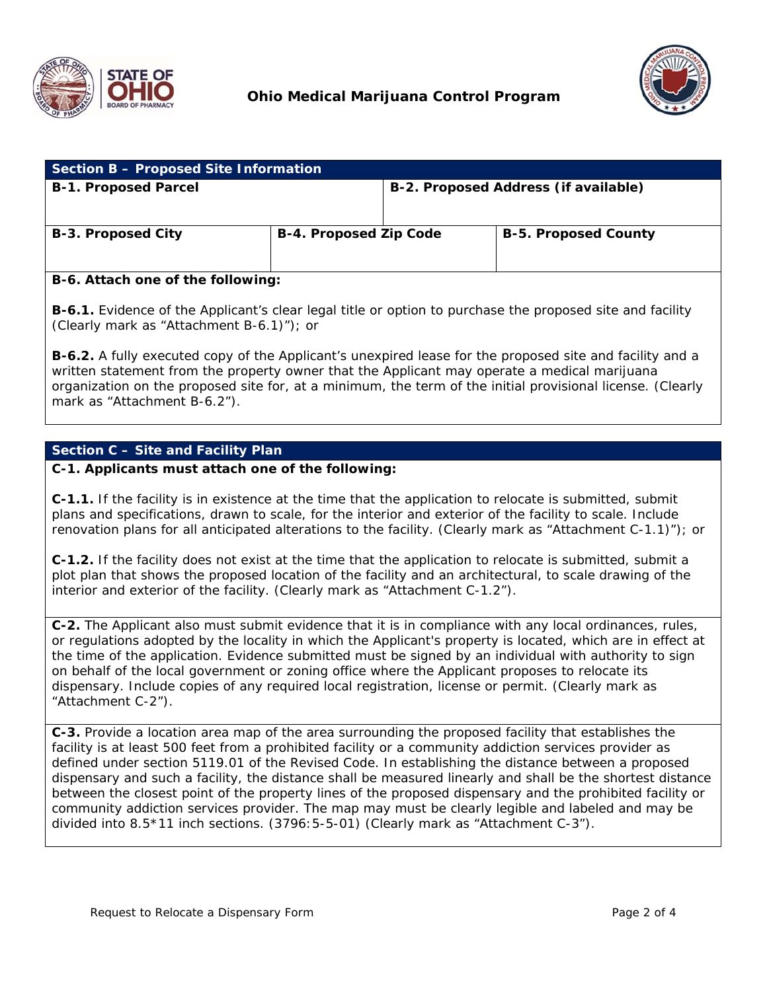



| Section B - Proposed Site Information |                               |                                      |                             |  |
|---------------------------------------|-------------------------------|--------------------------------------|-----------------------------|--|
| <b>B-1. Proposed Parcel</b>           |                               | B-2. Proposed Address (if available) |                             |  |
| B-3. Proposed City                    | <b>B-4. Proposed Zip Code</b> |                                      | <b>B-5. Proposed County</b> |  |

#### **B-6. Attach one of the following:**

**B-6.1.** Evidence of the Applicant's clear legal title or option to purchase the proposed site and facility (Clearly mark as "Attachment B-6.1)"); or

**B-6.2.** A fully executed copy of the Applicant's unexpired lease for the proposed site and facility and a written statement from the property owner that the Applicant may operate a medical marijuana organization on the proposed site for, at a minimum, the term of the initial provisional license. (Clearly mark as "Attachment B-6.2").

### **Section C – Site and Facility Plan**

#### **C-1. Applicants must attach one of the following:**

**C-1.1.** If the facility is in existence at the time that the application to relocate is submitted, submit plans and specifications, drawn to scale, for the interior and exterior of the facility to scale. Include renovation plans for all anticipated alterations to the facility. (Clearly mark as "Attachment C-1.1)"); or

**C-1.2.** If the facility does not exist at the time that the application to relocate is submitted, submit a plot plan that shows the proposed location of the facility and an architectural, to scale drawing of the interior and exterior of the facility. (Clearly mark as "Attachment C-1.2").

**C-2.** The Applicant also must submit evidence that it is in compliance with any local ordinances, rules, or regulations adopted by the locality in which the Applicant's property is located, which are in effect at the time of the application. Evidence submitted must be signed by an individual with authority to sign on behalf of the local government or zoning office where the Applicant proposes to relocate its dispensary. Include copies of any required local registration, license or permit. (Clearly mark as "Attachment C-2").

**C-3.** Provide a location area map of the area surrounding the proposed facility that establishes the facility is at least 500 feet from a prohibited facility or a community addiction services provider as defined under section 5119.01 of the Revised Code. In establishing the distance between a proposed dispensary and such a facility, the distance shall be measured linearly and shall be the shortest distance between the closest point of the property lines of the proposed dispensary and the prohibited facility or community addiction services provider. The map may must be clearly legible and labeled and may be divided into 8.5\*11 inch sections. (3796:5-5-01) (Clearly mark as "Attachment C-3").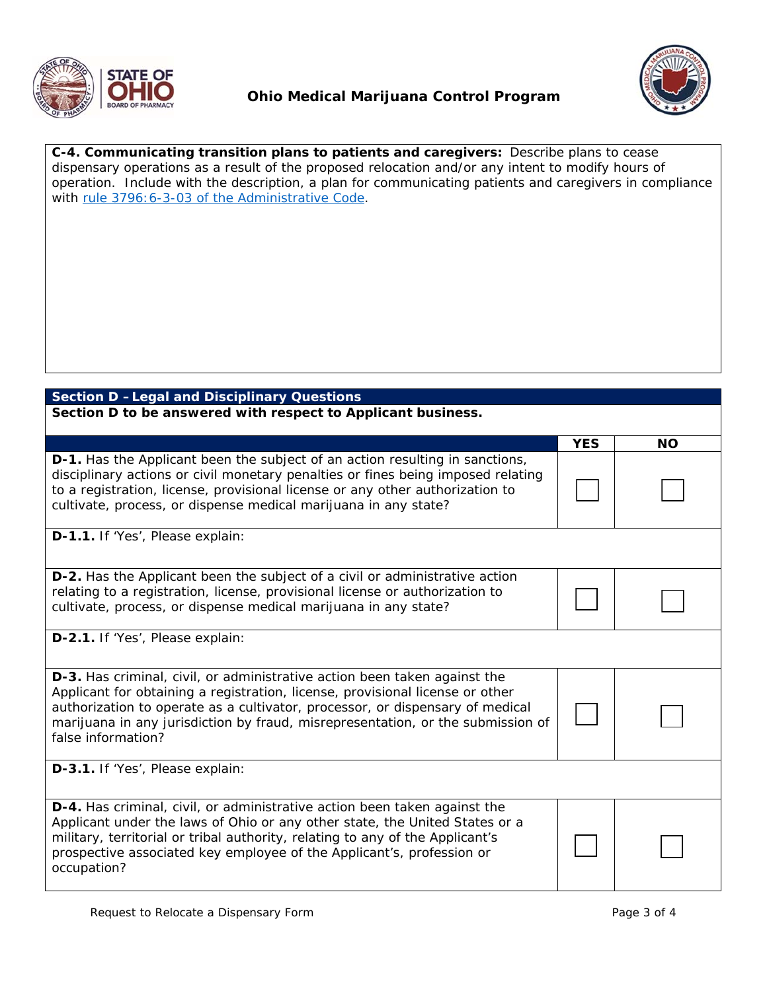



**C-4. Communicating transition plans to patients and caregivers:** Describe plans to cease dispensary operations as a result of the proposed relocation and/or any intent to modify hours of operation. Include with the description, a plan for communicating patients and caregivers in compliance with rule 3796:6-3-03 of the Administrative Code.

# **Section D –Legal and Disciplinary Questions**

**Section D to be answered with respect to Applicant business.** 

|                                                                                                                                                                                                                                                                                                                                                             | <b>YES</b> | <b>NO</b> |
|-------------------------------------------------------------------------------------------------------------------------------------------------------------------------------------------------------------------------------------------------------------------------------------------------------------------------------------------------------------|------------|-----------|
| <b>D-1.</b> Has the Applicant been the subject of an action resulting in sanctions,<br>disciplinary actions or civil monetary penalties or fines being imposed relating<br>to a registration, license, provisional license or any other authorization to<br>cultivate, process, or dispense medical marijuana in any state?                                 |            |           |
| D-1.1. If 'Yes', Please explain:                                                                                                                                                                                                                                                                                                                            |            |           |
| <b>D-2.</b> Has the Applicant been the subject of a civil or administrative action<br>relating to a registration, license, provisional license or authorization to<br>cultivate, process, or dispense medical marijuana in any state?                                                                                                                       |            |           |
| D-2.1. If 'Yes', Please explain:                                                                                                                                                                                                                                                                                                                            |            |           |
| <b>D-3.</b> Has criminal, civil, or administrative action been taken against the<br>Applicant for obtaining a registration, license, provisional license or other<br>authorization to operate as a cultivator, processor, or dispensary of medical<br>marijuana in any jurisdiction by fraud, misrepresentation, or the submission of<br>false information? |            |           |
| D-3.1. If 'Yes', Please explain:                                                                                                                                                                                                                                                                                                                            |            |           |
| D-4. Has criminal, civil, or administrative action been taken against the<br>Applicant under the laws of Ohio or any other state, the United States or a<br>military, territorial or tribal authority, relating to any of the Applicant's<br>prospective associated key employee of the Applicant's, profession or<br>occupation?                           |            |           |